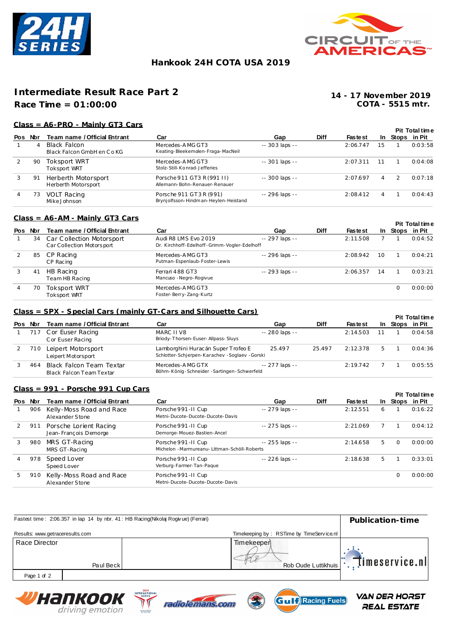



# **Hankook 24H COTA USA 2019**

# **Intermediate Result Race Part 2**

**Race Time = 01:00:00**

**COTA - 5515 mtr. 14 - 17 November 2019**

### **Class = A6-PRO - Mainly GT3 Cars**

|                |     |                                             |                                                                |                 |             |                |                |              | <b>Pit Total time</b> |  |
|----------------|-----|---------------------------------------------|----------------------------------------------------------------|-----------------|-------------|----------------|----------------|--------------|-----------------------|--|
| Pos            | Nbr | Team name / Official Entrant                | Car                                                            | Gap             | <b>Diff</b> | <b>Fastest</b> | In.            | Stops in Pit |                       |  |
|                | 4   | Black Falcon<br>Black Falcon GmbH en C o KG | Mercedes-AMG GT3<br>Keating-Bleekemolen-Fraga-MacNeil          | $-303$ laps $-$ |             | 2:06.747       | 15             |              | 0:03:58               |  |
| $\overline{2}$ | 90  | Toksport WRT<br><b>Toksport WRT</b>         | Mercedes-AMG GT3<br>Stolz-Still-Konrad-Jefferies               | $-301$ laps $-$ |             | 2:07.311       | 11             |              | 0:04:08               |  |
| 3              | 91  | Herberth Motorsport<br>Herberth Motorsport  | Porsche 911 GT3 R (991 II)<br>Allemann-Bohn-Renauer-Renauer    | -- 300 laps --  |             | 2:07.697       | $\overline{4}$ |              | 0:07:18               |  |
| $\overline{4}$ | 73  | <b>VOLT Racing</b><br>Mike Johnson          | Porsche 911 GT3R (991)<br>Brynjolfsson-Hindman-Heylen-Heistand | -- 296 laps --  |             | 2:08.412       | 4              |              | 0:04:43               |  |

### **Class = A6-AM - Mainly GT3 Cars**

|     |     |                                                        |                                                                      |                |             |                |      |              | <b>Pit Total time</b> |
|-----|-----|--------------------------------------------------------|----------------------------------------------------------------------|----------------|-------------|----------------|------|--------------|-----------------------|
| Pos | Nbr | Team name / Official Entrant                           | Car                                                                  | Gap            | <b>Diff</b> | <b>Fastest</b> | In . | Stops in Pit |                       |
|     | 34  | Car Collection Motorsport<br>Car Collection Motorsport | Audi R8 LMS Evo 2019<br>Dr. Kirchhoff-Edelhoff-Grimm-Vogler-Edelhoff | -- 297 laps -- |             | 2:11.508       |      |              | 0:04:52               |
|     | 85  | CP Racing<br>CP Racing                                 | Mercedes-AMG GT3<br>Putman-Espenlaub-Foster-Lewis                    | -- 296 laps -- |             | 2:08.942       | 10   |              | 0:04:21               |
|     | 41  | HB Racing<br>Team HB Racing                            | Ferrari 488 GT3<br>Mancuso - Negro-Rogivue                           | -- 293 laps -- |             | 2:06.357       | 14   |              | 0:03:21               |
|     | 70  | Toksport WRT<br><b>Toksport WRT</b>                    | Mercedes-AMG GT3<br>Foster-Berry-Zang-Kurtz                          |                |             |                |      |              | 0:00:00               |

#### **Class = SPX - Special Cars (mainly GT-Cars and Silhouette Cars)**

|     |     |                                                      |                                                                                       |                |        |                |   |                 | <b>Pit Total time</b> |
|-----|-----|------------------------------------------------------|---------------------------------------------------------------------------------------|----------------|--------|----------------|---|-----------------|-----------------------|
| Pos | Nbr | Team name / Official Entrant                         | Car                                                                                   | Gap            | Diff   | <b>Fastest</b> |   | In Stops in Pit |                       |
|     |     | 717 Cor Euser Racing<br>C or Euser Racing            | MARC II V8<br>Briody-Thorsen-Euser-Allpass-Sluys                                      | -- 280 laps -- |        | 2:14.503       |   |                 | 0:04:58               |
|     | 710 | Leipert Motorsport<br>Leipert Motorsport             | Lamborghini Huracán Super Trofeo E<br>Schlotter-Schierpen-Karachev - Soglaev - Gorski | 25.497         | 25.497 | 2:12.378       | 5 |                 | 0:04:36               |
|     | 464 | Black Falcon Team Textar<br>Black Falcon Team Textar | Mercedes-AMG GTX<br>Böhm-König-Schneider-Sartingen-Schwerfeld                         | -- 277 laps -- |        | 2:19.742       |   |                 | 0:05:55               |

### **Class = 991 - Porsche 991 Cup Cars**

|   |         |                                                 |                                                                       |                |             |                |    |          | <b>Pit Total time</b> |
|---|---------|-------------------------------------------------|-----------------------------------------------------------------------|----------------|-------------|----------------|----|----------|-----------------------|
|   | Pos Nor | Team name / Official Entrant                    | Car                                                                   | Gap            | <b>Diff</b> | <b>Fastest</b> |    |          | In Stops in Pit       |
|   | 906     | Kelly-Moss Road and Race<br>Alexander Stone     | Porsche 991-II Cup<br>Metni-Ducote-Ducote-Ducote-Davis                | -- 279 laps -- |             | 2:12.551       | 6  |          | 0:16:22               |
|   | 911     | Porsche Lorient Racing<br>Jean-François Demorge | Porsche 991 - II Cup<br>Demorge-Mouez-Bastien-Ancel                   | -- 275 laps -- |             | 2:21.069       |    |          | 0:04:12               |
| 3 | 980     | MRS GT-Racing<br>MRS GT-Racing                  | Porsche 991 - II Cup<br>Michelon - Marmureanu- Littman-Schöll-Roberts | -- 255 laps -- |             | 2:14.658       | 5  | $\Omega$ | 0:00:00               |
|   | 978     | Speed Lover<br>Speed Lover                      | Porsche 991 - II Cup<br>Verburg-Farmer-Tan-Pague                      | -- 226 laps -- |             | 2:18.638       | 5. |          | 0:33:01               |
| 5 | 910     | Kelly-Moss Road and Race<br>Alexander Stone     | Porsche 991-II Cup<br>Metni-Ducote-Ducote-Ducote-Davis                |                |             |                |    |          | 0:00:00               |

|                                 |           | Fastest time: 2:06.357 in lap 14 by nbr. 41: HB Racing(Nikolaj Rogivue) (Ferrari) | Publication-time                            |
|---------------------------------|-----------|-----------------------------------------------------------------------------------|---------------------------------------------|
| Results: www.getraceresults.com |           | Timekeeping by: RSTime by TimeService.nl                                          |                                             |
| Race Director                   | Paul Beck | Timekeeper<br>Rob Oude Luttikhuis                                                 | $\left\Vert \cdot\right\Vert$ imeservice.nl |
| Page 1 of 2                     |           |                                                                                   |                                             |
|                                 |           | 2019                                                                              |                                             |







**VAN DER HORST REAL ESTATE**